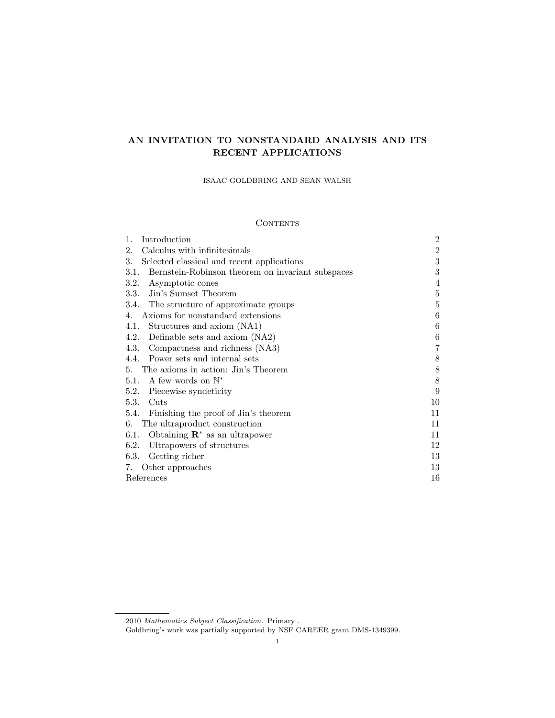# AN INVITATION TO NONSTANDARD ANALYSIS AND ITS RECENT APPLICATIONS

ISAAC GOLDBRING AND SEAN WALSH

## CONTENTS

| 1.<br>Introduction                                        | $\overline{2}$ |
|-----------------------------------------------------------|----------------|
| Calculus with infinitesimals<br>2.                        | $\overline{2}$ |
| 3.<br>Selected classical and recent applications          | 3              |
| Bernstein-Robinson theorem on invariant subspaces<br>3.1. | 3              |
| 3.2.<br>Asymptotic cones                                  | 4              |
| 3.3. Jin's Sumset Theorem                                 | $\overline{5}$ |
| 3.4. The structure of approximate groups                  | 5              |
| Axioms for nonstandard extensions<br>4.                   | 6              |
| Structures and axiom (NA1)<br>4.1.                        | 6              |
| Definable sets and axiom (NA2)<br>4.2.                    | 6              |
| Compactness and richness (NA3)<br>4.3.                    | 7              |
| 4.4. Power sets and internal sets                         | 8              |
| 5. The axioms in action: Jin's Theorem                    | 8              |
| 5.1. A few words on $\mathbb{N}^*$                        | 8              |
| Piecewise syndeticity<br>5.2.                             | 9              |
| 5.3.<br>Cuts                                              | 10             |
| 5.4. Finishing the proof of Jin's theorem                 | 11             |
| The ultraproduct construction<br>6.                       | 11             |
| Obtaining $\mathbb{R}^*$ as an ultrapower<br>6.1.         | 11             |
| Ultrapowers of structures<br>6.2.                         | 12             |
| 6.3.<br>Getting richer                                    | 13             |
| Other approaches<br>7.                                    | 13             |
| References                                                | 16             |

<sup>2010</sup> Mathematics Subject Classification. Primary .

Goldbring's work was partially supported by NSF CAREER grant DMS-1349399.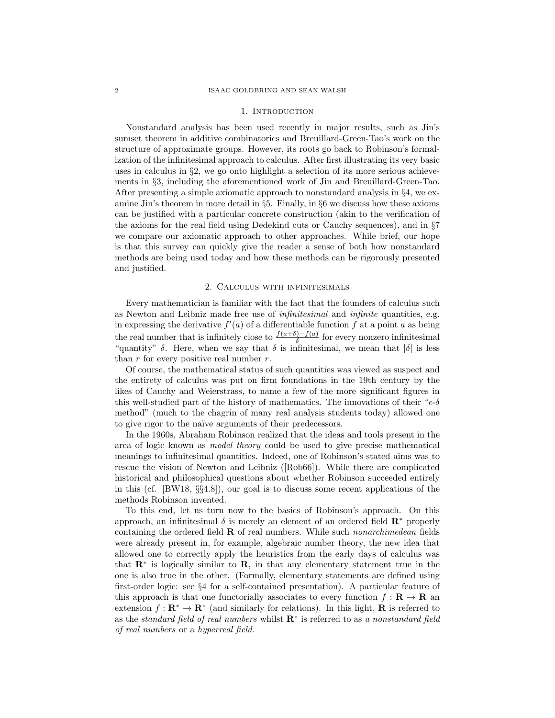#### 1. INTRODUCTION

Nonstandard analysis has been used recently in major results, such as Jin's sumset theorem in additive combinatorics and Breuillard-Green-Tao's work on the structure of approximate groups. However, its roots go back to Robinson's formalization of the infinitesimal approach to calculus. After first illustrating its very basic uses in calculus in §2, we go onto highlight a selection of its more serious achievements in §3, including the aforementioned work of Jin and Breuillard-Green-Tao. After presenting a simple axiomatic approach to nonstandard analysis in  $\S 4$ , we examine Jin's theorem in more detail in §5. Finally, in §6 we discuss how these axioms can be justified with a particular concrete construction (akin to the verification of the axioms for the real field using Dedekind cuts or Cauchy sequences), and in §7 we compare our axiomatic approach to other approaches. While brief, our hope is that this survey can quickly give the reader a sense of both how nonstandard methods are being used today and how these methods can be rigorously presented and justified.

#### 2. Calculus with infinitesimals

Every mathematician is familiar with the fact that the founders of calculus such as Newton and Leibniz made free use of infinitesimal and infinite quantities, e.g. in expressing the derivative  $f'(a)$  of a differentiable function f at a point a as being the real number that is infinitely close to  $\frac{f(a+\delta)-f(a)}{\delta}$  for every nonzero infinitesimal "quantity"  $\delta$ . Here, when we say that  $\delta$  is infinitesimal, we mean that  $|\delta|$  is less than  $r$  for every positive real number  $r$ .

Of course, the mathematical status of such quantities was viewed as suspect and the entirety of calculus was put on firm foundations in the 19th century by the likes of Cauchy and Weierstrass, to name a few of the more significant figures in this well-studied part of the history of mathematics. The innovations of their " $\epsilon$ -δ method" (much to the chagrin of many real analysis students today) allowed one to give rigor to the naïve arguments of their predecessors.

In the 1960s, Abraham Robinson realized that the ideas and tools present in the area of logic known as model theory could be used to give precise mathematical meanings to infinitesimal quantities. Indeed, one of Robinson's stated aims was to rescue the vision of Newton and Leibniz ([Rob66]). While there are complicated historical and philosophical questions about whether Robinson succeeded entirely in this (cf. [BW18, §§4.8]), our goal is to discuss some recent applications of the methods Robinson invented.

To this end, let us turn now to the basics of Robinson's approach. On this approach, an infinitesimal  $\delta$  is merely an element of an ordered field  $\mathbb{R}^*$  properly containing the ordered field  **of real numbers. While such** *nonarchimedean* **fields** were already present in, for example, algebraic number theory, the new idea that allowed one to correctly apply the heuristics from the early days of calculus was that  $\mathbb{R}^*$  is logically similar to  $\mathbb{R}$ , in that any elementary statement true in the one is also true in the other. (Formally, elementary statements are defined using first-order logic: see §4 for a self-contained presentation). A particular feature of this approach is that one functorially associates to every function  $f : \mathbf{R} \to \mathbf{R}$  and extension  $f: \mathbf{R}^* \to \mathbf{R}^*$  (and similarly for relations). In this light, **R** is referred to as the standard field of real numbers whilst  $\mathbf{R}^*$  is referred to as a nonstandard field of real numbers or a hyperreal field.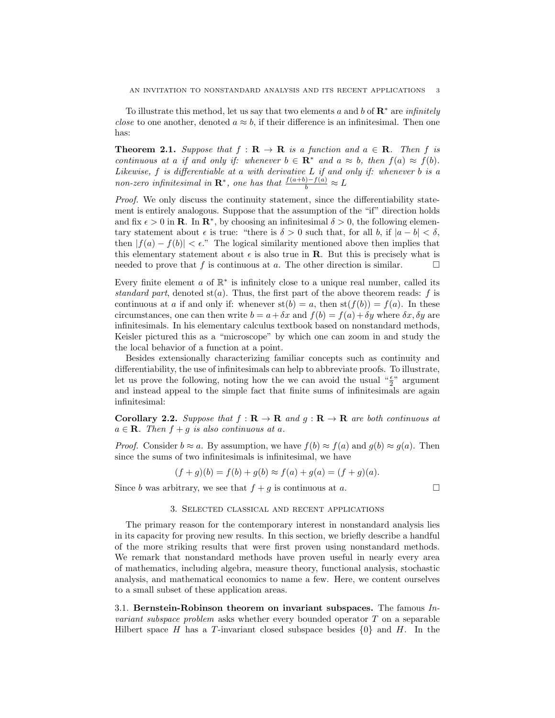To illustrate this method, let us say that two elements a and b of  $\mathbb{R}^*$  are *infinitely close* to one another, denoted  $a \approx b$ , if their difference is an infinitesimal. Then one has:

**Theorem 2.1.** Suppose that  $f : \mathbf{R} \to \mathbf{R}$  is a function and  $a \in \mathbf{R}$ . Then f is continuous at a if and only if: whenever  $b \in \mathbb{R}^*$  and  $a \approx b$ , then  $f(a) \approx f(b)$ . Likewise,  $f$  is differentiable at a with derivative  $L$  if and only if: whenever  $b$  is a non-zero infinitesimal in  $\mathbf{R}^*$ , one has that  $\frac{f(a+b)-f(a)}{b} \approx L$ 

Proof. We only discuss the continuity statement, since the differentiability statement is entirely analogous. Suppose that the assumption of the "if" direction holds and fix  $\epsilon > 0$  in **R**. In  $\mathbb{R}^*$ , by choosing an infinitesimal  $\delta > 0$ , the following elementary statement about  $\epsilon$  is true: "there is  $\delta > 0$  such that, for all b, if  $|a - b| < \delta$ , then  $|f(a) - f(b)| < \epsilon$ ." The logical similarity mentioned above then implies that this elementary statement about  $\epsilon$  is also true in **R**. But this is precisely what is needed to prove that f is continuous at a. The other direction is similar.  $\Box$ 

Every finite element  $a$  of  $\mathbb{R}^*$  is infinitely close to a unique real number, called its standard part, denoted  $st(a)$ . Thus, the first part of the above theorem reads: f is continuous at a if and only if: whenever  $\operatorname{st}(b) = a$ , then  $\operatorname{st}(f(b)) = f(a)$ . In these circumstances, one can then write  $b = a + \delta x$  and  $f(b) = f(a) + \delta y$  where  $\delta x, \delta y$  are infinitesimals. In his elementary calculus textbook based on nonstandard methods, Keisler pictured this as a "microscope" by which one can zoom in and study the the local behavior of a function at a point.

Besides extensionally characterizing familiar concepts such as continuity and differentiability, the use of infinitesimals can help to abbreviate proofs. To illustrate, let us prove the following, noting how the we can avoid the usual  $\frac{1}{2}$ " argument and instead appeal to the simple fact that finite sums of infinitesimals are again infinitesimal:

Corollary 2.2. Suppose that  $f: \mathbf{R} \to \mathbf{R}$  and  $g: \mathbf{R} \to \mathbf{R}$  are both continuous at  $a \in \mathbf{R}$ . Then  $f + g$  is also continuous at a.

*Proof.* Consider  $b \approx a$ . By assumption, we have  $f(b) \approx f(a)$  and  $g(b) \approx g(a)$ . Then since the sums of two infinitesimals is infinitesimal, we have

$$
(f+g)(b) = f(b) + g(b) \approx f(a) + g(a) = (f+g)(a).
$$

Since b was arbitrary, we see that  $f + g$  is continuous at a.

### 3. Selected classical and recent applications

The primary reason for the contemporary interest in nonstandard analysis lies in its capacity for proving new results. In this section, we briefly describe a handful of the more striking results that were first proven using nonstandard methods. We remark that nonstandard methods have proven useful in nearly every area of mathematics, including algebra, measure theory, functional analysis, stochastic analysis, and mathematical economics to name a few. Here, we content ourselves to a small subset of these application areas.

3.1. Bernstein-Robinson theorem on invariant subspaces. The famous  $In$ *variant subspace problem* asks whether every bounded operator  $T$  on a separable Hilbert space H has a T-invariant closed subspace besides  $\{0\}$  and H. In the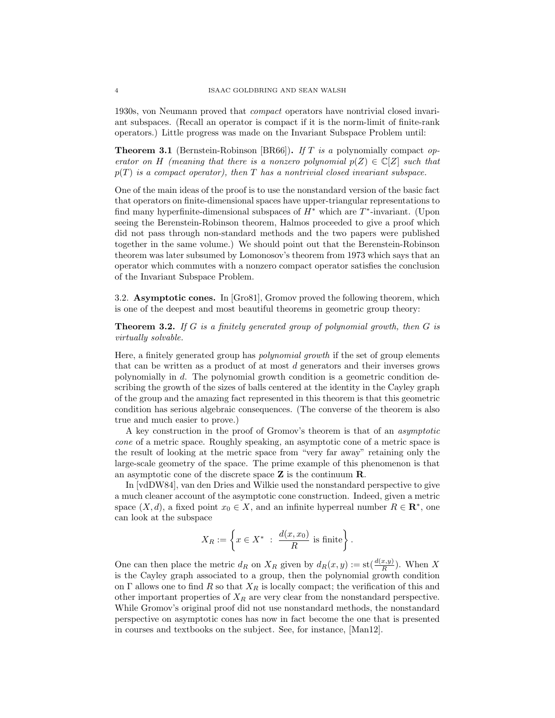1930s, von Neumann proved that compact operators have nontrivial closed invariant subspaces. (Recall an operator is compact if it is the norm-limit of finite-rank operators.) Little progress was made on the Invariant Subspace Problem until:

**Theorem 3.1** (Bernstein-Robinson [BR66]). If T is a polynomially compact operator on H (meaning that there is a nonzero polynomial  $p(Z) \in \mathbb{C}[Z]$  such that  $p(T)$  is a compact operator), then T has a nontrivial closed invariant subspace.

One of the main ideas of the proof is to use the nonstandard version of the basic fact that operators on finite-dimensional spaces have upper-triangular representations to find many hyperfinite-dimensional subspaces of  $H^*$  which are  $T^*$ -invariant. (Upon seeing the Berenstein-Robinson theorem, Halmos proceeded to give a proof which did not pass through non-standard methods and the two papers were published together in the same volume.) We should point out that the Berenstein-Robinson theorem was later subsumed by Lomonosov's theorem from 1973 which says that an operator which commutes with a nonzero compact operator satisfies the conclusion of the Invariant Subspace Problem.

3.2. Asymptotic cones. In [Gro81], Gromov proved the following theorem, which is one of the deepest and most beautiful theorems in geometric group theory:

Theorem 3.2. If G is a finitely generated group of polynomial growth, then G is virtually solvable.

Here, a finitely generated group has polynomial growth if the set of group elements that can be written as a product of at most d generators and their inverses grows polynomially in d. The polynomial growth condition is a geometric condition describing the growth of the sizes of balls centered at the identity in the Cayley graph of the group and the amazing fact represented in this theorem is that this geometric condition has serious algebraic consequences. (The converse of the theorem is also true and much easier to prove.)

A key construction in the proof of Gromov's theorem is that of an asymptotic cone of a metric space. Roughly speaking, an asymptotic cone of a metric space is the result of looking at the metric space from "very far away" retaining only the large-scale geometry of the space. The prime example of this phenomenon is that an asymptotic cone of the discrete space  $Z$  is the continuum  $R$ .

In [vdDW84], van den Dries and Wilkie used the nonstandard perspective to give a much cleaner account of the asymptotic cone construction. Indeed, given a metric space  $(X, d)$ , a fixed point  $x_0 \in X$ , and an infinite hyperreal number  $R \in \mathbb{R}^*$ , one can look at the subspace

$$
X_R:=\left\{x\in X^*\ :\ \frac{d(x,x_0)}{R}\ {\rm is\ finite}\right\}.
$$

One can then place the metric  $d_R$  on  $X_R$  given by  $d_R(x, y) := \text{st}(\frac{d(x, y)}{R})$ . When X is the Cayley graph associated to a group, then the polynomial growth condition on Γ allows one to find R so that  $X_R$  is locally compact; the verification of this and other important properties of  $X_R$  are very clear from the nonstandard perspective. While Gromov's original proof did not use nonstandard methods, the nonstandard perspective on asymptotic cones has now in fact become the one that is presented in courses and textbooks on the subject. See, for instance, [Man12].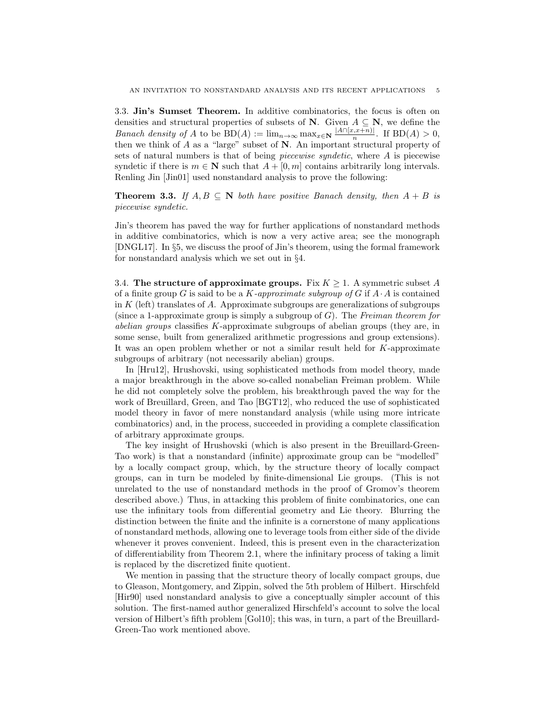3.3. Jin's Sumset Theorem. In additive combinatorics, the focus is often on densities and structural properties of subsets of N. Given  $A \subseteq N$ , we define the *Banach density of A* to be  $BD(A) := \lim_{n \to \infty} \max_{x \in \mathbb{N}} \frac{|A \cap [x, x+n)|}{n}$  $\frac{n(n+1)(n-1)}{n}$ . If  $BD(A) > 0$ , then we think of  $A$  as a "large" subset of  $N$ . An important structural property of sets of natural numbers is that of being piecewise syndetic, where A is piecewise syndetic if there is  $m \in \mathbb{N}$  such that  $A + [0, m]$  contains arbitrarily long intervals. Renling Jin [Jin01] used nonstandard analysis to prove the following:

**Theorem 3.3.** If  $A, B \subseteq \mathbb{N}$  both have positive Banach density, then  $A + B$  is piecewise syndetic.

Jin's theorem has paved the way for further applications of nonstandard methods in additive combinatorics, which is now a very active area; see the monograph [DNGL17]. In §5, we discuss the proof of Jin's theorem, using the formal framework for nonstandard analysis which we set out in §4.

3.4. The structure of approximate groups. Fix  $K \geq 1$ . A symmetric subset A of a finite group G is said to be a K-approximate subgroup of G if  $A \cdot A$  is contained in  $K$  (left) translates of  $A$ . Approximate subgroups are generalizations of subgroups (since a 1-approximate group is simply a subgroup of  $G$ ). The Freiman theorem for abelian groups classifies  $K$ -approximate subgroups of abelian groups (they are, in some sense, built from generalized arithmetic progressions and group extensions). It was an open problem whether or not a similar result held for  $K$ -approximate subgroups of arbitrary (not necessarily abelian) groups.

In [Hru12], Hrushovski, using sophisticated methods from model theory, made a major breakthrough in the above so-called nonabelian Freiman problem. While he did not completely solve the problem, his breakthrough paved the way for the work of Breuillard, Green, and Tao [BGT12], who reduced the use of sophisticated model theory in favor of mere nonstandard analysis (while using more intricate combinatorics) and, in the process, succeeded in providing a complete classification of arbitrary approximate groups.

The key insight of Hrushovski (which is also present in the Breuillard-Green-Tao work) is that a nonstandard (infinite) approximate group can be "modelled" by a locally compact group, which, by the structure theory of locally compact groups, can in turn be modeled by finite-dimensional Lie groups. (This is not unrelated to the use of nonstandard methods in the proof of Gromov's theorem described above.) Thus, in attacking this problem of finite combinatorics, one can use the infinitary tools from differential geometry and Lie theory. Blurring the distinction between the finite and the infinite is a cornerstone of many applications of nonstandard methods, allowing one to leverage tools from either side of the divide whenever it proves convenient. Indeed, this is present even in the characterization of differentiability from Theorem 2.1, where the infinitary process of taking a limit is replaced by the discretized finite quotient.

We mention in passing that the structure theory of locally compact groups, due to Gleason, Montgomery, and Zippin, solved the 5th problem of Hilbert. Hirschfeld [Hir90] used nonstandard analysis to give a conceptually simpler account of this solution. The first-named author generalized Hirschfeld's account to solve the local version of Hilbert's fifth problem [Gol10]; this was, in turn, a part of the Breuillard-Green-Tao work mentioned above.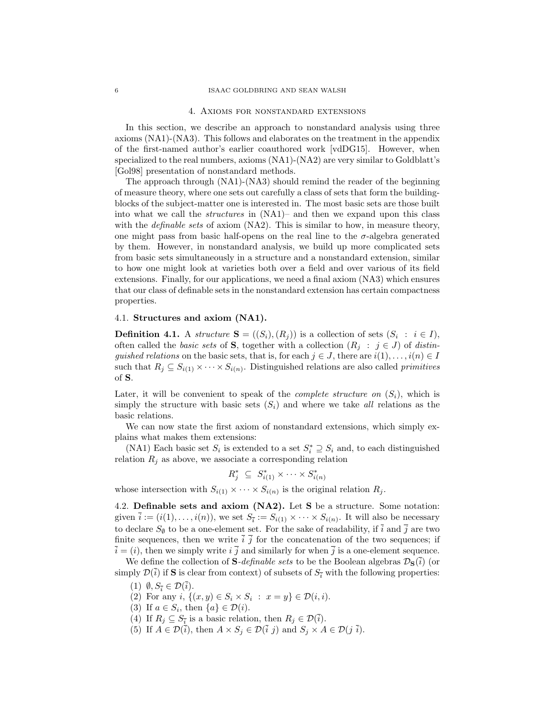#### 4. Axioms for nonstandard extensions

In this section, we describe an approach to nonstandard analysis using three axioms (NA1)-(NA3). This follows and elaborates on the treatment in the appendix of the first-named author's earlier coauthored work [vdDG15]. However, when specialized to the real numbers, axioms (NA1)-(NA2) are very similar to Goldblatt's [Gol98] presentation of nonstandard methods.

The approach through (NA1)-(NA3) should remind the reader of the beginning of measure theory, where one sets out carefully a class of sets that form the buildingblocks of the subject-matter one is interested in. The most basic sets are those built into what we call the *structures* in  $(NA1)$ – and then we expand upon this class with the *definable sets* of axiom  $(NA2)$ . This is similar to how, in measure theory, one might pass from basic half-opens on the real line to the  $\sigma$ -algebra generated by them. However, in nonstandard analysis, we build up more complicated sets from basic sets simultaneously in a structure and a nonstandard extension, similar to how one might look at varieties both over a field and over various of its field extensions. Finally, for our applications, we need a final axiom (NA3) which ensures that our class of definable sets in the nonstandard extension has certain compactness properties.

## 4.1. Structures and axiom (NA1).

**Definition 4.1.** A structure  $S = ((S_i), (R_j))$  is a collection of sets  $(S_i : i \in I)$ , often called the basic sets of **S**, together with a collection  $(R_j : j \in J)$  of distinguished relations on the basic sets, that is, for each  $j \in J$ , there are  $i(1), \ldots, i(n) \in I$ such that  $R_j \subseteq S_{i(1)} \times \cdots \times S_{i(n)}$ . Distinguished relations are also called *primitives* of S.

Later, it will be convenient to speak of the *complete structure on*  $(S_i)$ , which is simply the structure with basic sets  $(S_i)$  and where we take all relations as the basic relations.

We can now state the first axiom of nonstandard extensions, which simply explains what makes them extensions:

(NA1) Each basic set  $S_i$  is extended to a set  $S_i^* \supseteq S_i$  and, to each distinguished relation  $R_j$  as above, we associate a corresponding relation

$$
R_j^* \subseteq S_{i(1)}^* \times \cdots \times S_{i(n)}^*
$$

whose intersection with  $S_{i(1)} \times \cdots \times S_{i(n)}$  is the original relation  $R_j$ .

4.2. Definable sets and axiom (NA2). Let S be a structure. Some notation: given  $\overline{i} := (i(1), \ldots, i(n))$ , we set  $S_{\overline{i}} := S_{i(1)} \times \cdots \times S_{i(n)}$ . It will also be necessary to declare  $S_{\emptyset}$  to be a one-element set. For the sake of readability, if  $\overline{i}$  and  $\overline{j}$  are two finite sequences, then we write  $\overline{i}$   $\overline{j}$  for the concatenation of the two sequences; if  $\overline{i} = (i)$ , then we simply write  $i \overline{j}$  and similarly for when  $\overline{j}$  is a one-element sequence.

We define the collection of **S**-definable sets to be the Boolean algebras  $\mathcal{D}_{S}(\bar{i})$  (or simply  $\mathcal{D}(\bar{i})$  if **S** is clear from context) of subsets of  $S_{\bar{i}}$  with the following properties:

- (1)  $\emptyset, S_{\overline{i}} \in \mathcal{D}(\overline{i}).$
- (2) For any  $i, \{(x, y) \in S_i \times S_i : x = y\} \in \mathcal{D}(i, i)$ .
- (3) If  $a \in S_i$ , then  $\{a\} \in \mathcal{D}(i)$ .
- (4) If  $R_j \subseteq S_{\overline{i}}$  is a basic relation, then  $R_j \in \mathcal{D}(\overline{i})$ .
- (5) If  $A \in \mathcal{D}(\overline{i})$ , then  $A \times S_j \in \mathcal{D}(\overline{i} \, j)$  and  $S_j \times A \in \mathcal{D}(j \, \overline{i})$ .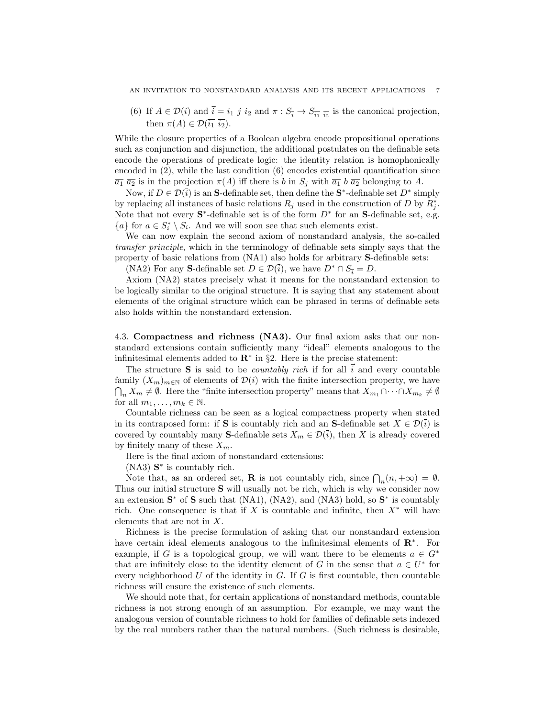(6) If  $A \in \mathcal{D}(\overline{i})$  and  $\overline{i} = \overline{i_1} j \overline{i_2}$  and  $\pi : S_{\overline{i}} \to S_{\overline{i_1}} \overline{i_2}$  is the canonical projection, then  $\pi(A) \in \mathcal{D}(\overline{i_1}, \overline{i_2}).$ 

While the closure properties of a Boolean algebra encode propositional operations such as conjunction and disjunction, the additional postulates on the definable sets encode the operations of predicate logic: the identity relation is homophonically encoded in  $(2)$ , while the last condition  $(6)$  encodes existential quantification since  $\overline{a_1} \ \overline{a_2}$  is in the projection  $\pi(A)$  iff there is b in  $S_j$  with  $\overline{a_1}$  b  $\overline{a_2}$  belonging to A.

Now, if  $D \in \mathcal{D}(\bar{i})$  is an S-definable set, then define the S<sup>\*</sup>-definable set  $D^*$  simply by replacing all instances of basic relations  $R_j$  used in the construction of D by  $R_j^*$ . Note that not every  $S^*$ -definable set is of the form  $D^*$  for an  $S$ -definable set, e.g.  ${a}$  for  $a \in S_i^* \setminus S_i$ . And we will soon see that such elements exist.

We can now explain the second axiom of nonstandard analysis, the so-called transfer principle, which in the terminology of definable sets simply says that the property of basic relations from (NA1) also holds for arbitrary S-definable sets:

(NA2) For any S-definable set  $D \in \mathcal{D}(\bar{i})$ , we have  $D^* \cap S_{\bar{i}} = D$ .

Axiom (NA2) states precisely what it means for the nonstandard extension to be logically similar to the original structure. It is saying that any statement about elements of the original structure which can be phrased in terms of definable sets also holds within the nonstandard extension.

4.3. Compactness and richness (NA3). Our final axiom asks that our nonstandard extensions contain sufficiently many "ideal" elements analogous to the infinitesimal elements added to  $\mathbb{R}^*$  in §2. Here is the precise statement:

The structure S is said to be *countably rich* if for all  $\vec{i}$  and every countable family  $(X_m)_{m\in\mathbb{N}}$  of elements of  $\mathcal{D}(\bar{i})$  with the finite intersection property, we have  $\bigcap_n X_m \neq \emptyset$ . Here the "finite intersection property" means that  $X_{m_1} \cap \cdots \cap X_{m_k} \neq \emptyset$ for all  $m_1, \ldots, m_k \in \mathbb{N}$ .

Countable richness can be seen as a logical compactness property when stated in its contraposed form: if S is countably rich and an S-definable set  $X \in \mathcal{D}(\bar{i})$  is covered by countably many S-definable sets  $X_m \in \mathcal{D}(\bar{i})$ , then X is already covered by finitely many of these  $X_m$ .

Here is the final axiom of nonstandard extensions:

 $(NA3)$   $S^*$  is countably rich.

Note that, as an ordered set, **R** is not countably rich, since  $\bigcap_n (n, +\infty) = \emptyset$ . Thus our initial structure S will usually not be rich, which is why we consider now an extension  $S^*$  of S such that (NA1), (NA2), and (NA3) hold, so  $S^*$  is countably rich. One consequence is that if X is countable and infinite, then  $X^*$  will have elements that are not in X.

Richness is the precise formulation of asking that our nonstandard extension have certain ideal elements analogous to the infinitesimal elements of R<sup>∗</sup> . For example, if G is a topological group, we will want there to be elements  $a \in G^*$ that are infinitely close to the identity element of G in the sense that  $a \in U^*$  for every neighborhood U of the identity in  $G$ . If G is first countable, then countable richness will ensure the existence of such elements.

We should note that, for certain applications of nonstandard methods, countable richness is not strong enough of an assumption. For example, we may want the analogous version of countable richness to hold for families of definable sets indexed by the real numbers rather than the natural numbers. (Such richness is desirable,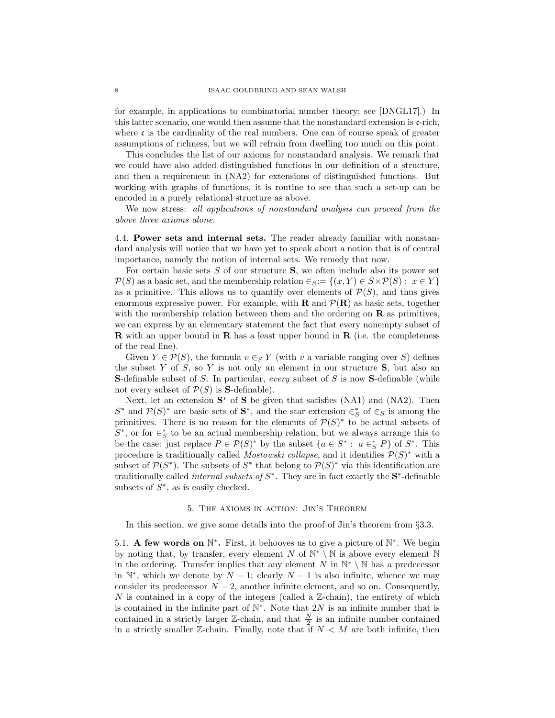for example, in applications to combinatorial number theory; see [DNGL17].) In this latter scenario, one would then assume that the nonstandard extension is  $\mathfrak{c}\text{-rich}$ , where  $\mathfrak c$  is the cardinality of the real numbers. One can of course speak of greater assumptions of richness, but we will refrain from dwelling too much on this point.

This concludes the list of our axioms for nonstandard analysis. We remark that we could have also added distinguished functions in our definition of a structure, and then a requirement in (NA2) for extensions of distinguished functions. But working with graphs of functions, it is routine to see that such a set-up can be encoded in a purely relational structure as above.

We now stress: all applications of nonstandard analysis can proceed from the above three axioms alone.

4.4. Power sets and internal sets. The reader already familiar with nonstandard analysis will notice that we have yet to speak about a notion that is of central importance, namely the notion of internal sets. We remedy that now.

For certain basic sets  $S$  of our structure  $S$ , we often include also its power set  $\mathcal{P}(S)$  as a basic set, and the membership relation  $\in_S := \{(x, Y) \in S \times \mathcal{P}(S) : x \in Y\}$ as a primitive. This allows us to quantify over elements of  $\mathcal{P}(S)$ , and thus gives enormous expressive power. For example, with **R** and  $\mathcal{P}(\mathbf{R})$  as basic sets, together with the membership relation between them and the ordering on  **as primitives,** we can express by an elementary statement the fact that every nonempty subset of **R** with an upper bound in **R** has a least upper bound in **R** (i.e. the completeness of the real line).

Given  $Y \in \mathcal{P}(S)$ , the formula  $v \in_S Y$  (with v a variable ranging over S) defines the subset Y of S, so Y is not only an element in our structure  $S$ , but also an **S**-definable subset of  $S$ . In particular, every subset of  $S$  is now **S**-definable (while not every subset of  $P(S)$  is **S**-definable).

Next, let an extension  $S^*$  of S be given that satisfies (NA1) and (NA2). Then  $S^*$  and  $\mathcal{P}(S)^*$  are basic sets of  $S^*$ , and the star extension  $\in_S^*$  of  $\in_S$  is among the primitives. There is no reason for the elements of  $\mathcal{P}(S)^*$  to be actual subsets of  $S^*$ , or for  $\in^*_S$  to be an actual membership relation, but we always arrange this to be the case: just replace  $P \in \mathcal{P}(S)^*$  by the subset  $\{a \in S^* : a \in_S^* P\}$  of  $S^*$ . This procedure is traditionally called *Mostowski collapse*, and it identifies  $\mathcal{P}(S)^*$  with a subset of  $\mathcal{P}(S^*)$ . The subsets of  $S^*$  that belong to  $\mathcal{P}(S)^*$  via this identification are traditionally called *internal subsets of*  $S^*$ . They are in fact exactly the  $S^*$ -definable subsets of  $S^*$ , as is easily checked.

## 5. The axioms in action: Jin's Theorem

In this section, we give some details into the proof of Jin's theorem from §3.3.

5.1. A few words on  $\mathbb{N}^*$ . First, it behooves us to give a picture of  $\mathbb{N}^*$ . We begin by noting that, by transfer, every element N of  $\mathbb{N}^* \setminus \mathbb{N}$  is above every element  $\mathbb N$ in the ordering. Transfer implies that any element N in  $\mathbb{N}^* \setminus \mathbb{N}$  has a predecessor in  $\mathbb{N}^*$ , which we denote by  $N-1$ ; clearly  $N-1$  is also infinite, whence we may consider its predecessor  $N-2$ , another infinite element, and so on. Consequently,  $N$  is contained in a copy of the integers (called a  $\mathbb{Z}\text{-chain}$ ), the entirety of which is contained in the infinite part of  $\mathbb{N}^*$ . Note that 2N is an infinite number that is contained in a strictly larger  $\mathbb{Z}$ -chain, and that  $\frac{N}{2}$  is an infinite number contained in a strictly smaller  $\mathbb{Z}$ -chain. Finally, note that if  $N < M$  are both infinite, then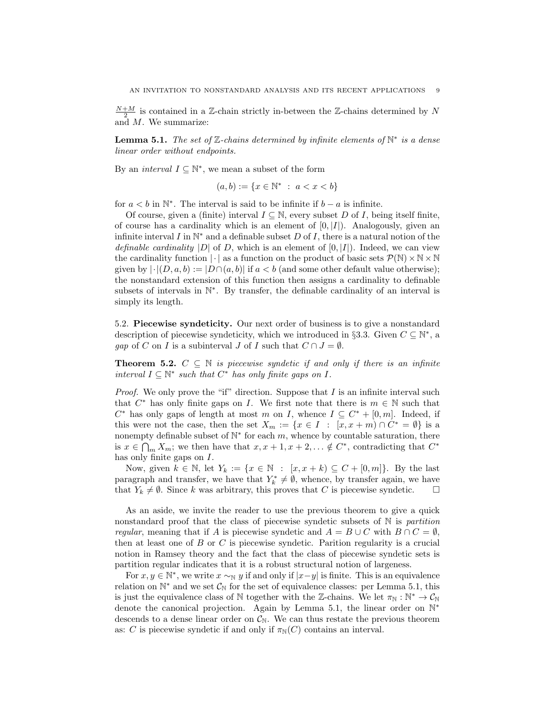$\frac{N+M}{2}$  is contained in a Z-chain strictly in-between the Z-chains determined by  $N$ and M. We summarize:

**Lemma 5.1.** The set of  $\mathbb{Z}$ -chains determined by infinite elements of  $\mathbb{N}^*$  is a dense linear order without endpoints.

By an *interval*  $I \subseteq \mathbb{N}^*$ , we mean a subset of the form

$$
(a, b) := \{ x \in \mathbb{N}^* \ : \ a < x < b \}
$$

for  $a < b$  in  $\mathbb{N}^*$ . The interval is said to be infinite if  $b - a$  is infinite.

Of course, given a (finite) interval  $I \subseteq \mathbb{N}$ , every subset D of I, being itself finite, of course has a cardinality which is an element of  $[0, |I|)$ . Analogously, given an infinite interval I in  $\mathbb{N}^*$  and a definable subset D of I, there is a natural notion of the definable cardinality |D| of D, which is an element of  $[0, |I|)$ . Indeed, we can view the cardinality function  $|\cdot|$  as a function on the product of basic sets  $\mathcal{P}(\mathbb{N})\times\mathbb{N}\times\mathbb{N}$ given by  $|\cdot| (D, a, b) := |D \cap (a, b)|$  if  $a < b$  (and some other default value otherwise); the nonstandard extension of this function then assigns a cardinality to definable subsets of intervals in N<sup>\*</sup>. By transfer, the definable cardinality of an interval is simply its length.

5.2. Piecewise syndeticity. Our next order of business is to give a nonstandard description of piecewise syndeticity, which we introduced in §3.3. Given  $C \subseteq \mathbb{N}^*$ , a gap of C on I is a subinterval J of I such that  $C \cap J = \emptyset$ .

**Theorem 5.2.**  $C \subseteq \mathbb{N}$  is piecewise syndetic if and only if there is an infinite interval  $I \subseteq \mathbb{N}^*$  such that  $C^*$  has only finite gaps on  $I$ .

*Proof.* We only prove the "if" direction. Suppose that I is an infinite interval such that  $C^*$  has only finite gaps on I. We first note that there is  $m \in \mathbb{N}$  such that  $C^*$  has only gaps of length at most m on I, whence  $I \subseteq C^* + [0, m]$ . Indeed, if this were not the case, then the set  $X_m := \{x \in I : [x, x+m) \cap C^* = \emptyset\}$  is a nonempty definable subset of  $\mathbb{N}^*$  for each m, whence by countable saturation, there is  $x \in \bigcap_m X_m$ ; we then have that  $x, x + 1, x + 2, \ldots \notin C^*$ , contradicting that  $C^*$ has only finite gaps on I.

Now, given  $k \in \mathbb{N}$ , let  $Y_k := \{x \in \mathbb{N} : [x, x + k) \subseteq C + [0, m]\}.$  By the last paragraph and transfer, we have that  $Y_k^* \neq \emptyset$ , whence, by transfer again, we have that  $Y_k \neq \emptyset$ . Since k was arbitrary, this proves that C is piecewise syndetic.

As an aside, we invite the reader to use the previous theorem to give a quick nonstandard proof that the class of piecewise syndetic subsets of  $\mathbb N$  is partition regular, meaning that if A is piecewise syndetic and  $A = B \cup C$  with  $B \cap C = \emptyset$ , then at least one of  $B$  or  $C$  is piecewise syndetic. Parition regularity is a crucial notion in Ramsey theory and the fact that the class of piecewise syndetic sets is partition regular indicates that it is a robust structural notion of largeness.

For  $x, y \in \mathbb{N}^*$ , we write  $x \sim_{\mathbb{N}} y$  if and only if  $|x-y|$  is finite. This is an equivalence relation on  $\mathbb{N}^*$  and we set  $\mathcal{C}_{\mathbb{N}}$  for the set of equivalence classes: per Lemma 5.1, this is just the equivalence class of N together with the Z-chains. We let  $\pi_N : \mathbb{N}^* \to \mathcal{C}_{\mathbb{N}}$ denote the canonical projection. Again by Lemma 5.1, the linear order on N<sup>\*</sup> descends to a dense linear order on  $\mathcal{C}_{\mathbb{N}}$ . We can thus restate the previous theorem as: C is piecewise syndetic if and only if  $\pi_N(C)$  contains an interval.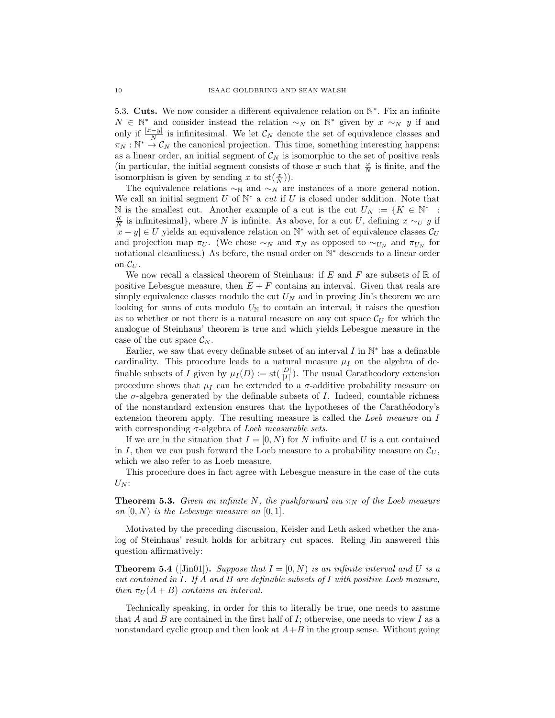5.3. Cuts. We now consider a different equivalence relation on  $\mathbb{N}^*$ . Fix an infinite  $N \in \mathbb{N}^*$  and consider instead the relation  $\sim_N$  on  $\mathbb{N}^*$  given by  $x \sim_N y$  if and only if  $\frac{|x-y|}{N}$  is infinitesimal. We let  $\mathcal{C}_N$  denote the set of equivalence classes and  $\pi_N : \mathbb{N}^* \to \mathcal{C}_N$  the canonical projection. This time, something interesting happens: as a linear order, an initial segment of  $\mathcal{C}_N$  is isomorphic to the set of positive reals (in particular, the initial segment consists of those x such that  $\frac{x}{N}$  is finite, and the isomorphism is given by sending x to  $st(\frac{x}{N})$ .

The equivalence relations  $\sim_N$  and  $\sim_N$  are instances of a more general notion. We call an initial segment  $U$  of  $\mathbb{N}^*$  a cut if  $U$  is closed under addition. Note that N is the smallest cut. Another example of a cut is the cut  $U_N := \{K \in \mathbb{N}^*$ :  $\frac{K}{N}$  is infinitesimal}, where N is infinite. As above, for a cut U, defining  $x \sim_U y$  if  $|x - y| \in U$  yields an equivalence relation on  $\mathbb{N}^*$  with set of equivalence classes  $\mathcal{C}_U$ and projection map  $\pi_U$ . (We chose ∼<sub>N</sub> and  $\pi_N$  as opposed to ∼<sub>U<sub>N</sub></sub> and  $\pi_{U_N}$  for notational cleanliness.) As before, the usual order on  $\mathbb{N}^*$  descends to a linear order on  $\mathcal{C}_U$ .

We now recall a classical theorem of Steinhaus: if E and F are subsets of  $\mathbb R$  of positive Lebesgue measure, then  $E + F$  contains an interval. Given that reals are simply equivalence classes modulo the cut  $U_N$  and in proving Jin's theorem we are looking for sums of cuts modulo  $U_N$  to contain an interval, it raises the question as to whether or not there is a natural measure on any cut space  $\mathcal{C}_U$  for which the analogue of Steinhaus' theorem is true and which yields Lebesgue measure in the case of the cut space  $\mathcal{C}_N$ .

Earlier, we saw that every definable subset of an interval  $I$  in  $\mathbb{N}^*$  has a definable cardinality. This procedure leads to a natural measure  $\mu_I$  on the algebra of definable subsets of I given by  $\mu_I(D) := \text{st}(\frac{|D|}{|I|})$ . The usual Caratheodory extension procedure shows that  $\mu_I$  can be extended to a  $\sigma$ -additive probability measure on the  $\sigma$ -algebra generated by the definable subsets of I. Indeed, countable richness of the nonstandard extension ensures that the hypotheses of the Carath´eodory's extension theorem apply. The resulting measure is called the Loeb measure on I with corresponding  $\sigma$ -algebra of *Loeb measurable sets.* 

If we are in the situation that  $I = [0, N)$  for N infinite and U is a cut contained in I, then we can push forward the Loeb measure to a probability measure on  $\mathcal{C}_U$ , which we also refer to as Loeb measure.

This procedure does in fact agree with Lebesgue measure in the case of the cuts  $U_N$ :

**Theorem 5.3.** Given an infinite N, the pushforward via  $\pi_N$  of the Loeb measure on  $[0, N)$  is the Lebesuge measure on  $[0, 1]$ .

Motivated by the preceding discussion, Keisler and Leth asked whether the analog of Steinhaus' result holds for arbitrary cut spaces. Reling Jin answered this question affirmatively:

**Theorem 5.4** ([Jin01]). Suppose that  $I = [0, N)$  is an infinite interval and U is a cut contained in I. If A and B are definable subsets of I with positive Loeb measure, then  $\pi_U(A + B)$  contains an interval.

Technically speaking, in order for this to literally be true, one needs to assume that A and B are contained in the first half of I; otherwise, one needs to view I as a nonstandard cyclic group and then look at  $A+B$  in the group sense. Without going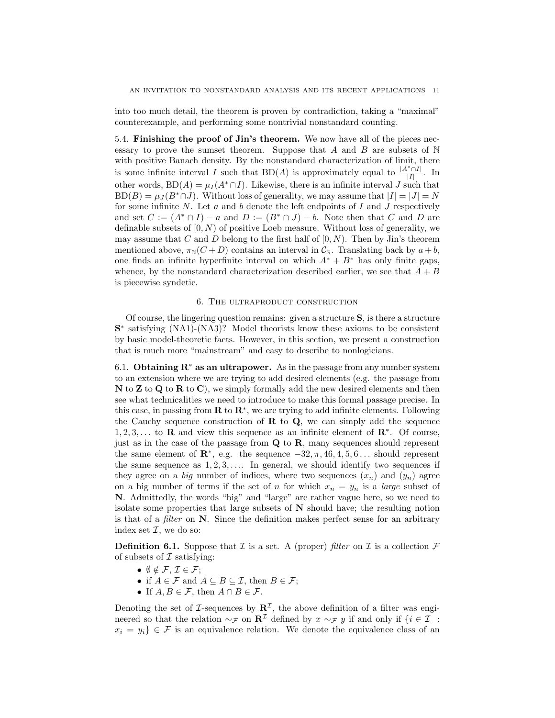into too much detail, the theorem is proven by contradiction, taking a "maximal" counterexample, and performing some nontrivial nonstandard counting.

5.4. Finishing the proof of Jin's theorem. We now have all of the pieces necessary to prove the sumset theorem. Suppose that A and B are subsets of  $\mathbb N$ with positive Banach density. By the nonstandard characterization of limit, there is some infinite interval I such that BD(A) is approximately equal to  $\frac{|A^*\cap I|}{|I|}$  $\frac{|H|}{|I|}$ . In other words,  $BD(A) = \mu_I(A^* \cap I)$ . Likewise, there is an infinite interval J such that  $BD(B) = \mu_I(B^*\cap J)$ . Without loss of generality, we may assume that  $|I| = |J| = N$ for some infinite  $N$ . Let  $a$  and  $b$  denote the left endpoints of  $I$  and  $J$  respectively and set  $C := (A^* \cap I) - a$  and  $D := (B^* \cap J) - b$ . Note then that C and D are definable subsets of  $[0, N)$  of positive Loeb measure. Without loss of generality, we may assume that C and D belong to the first half of  $[0, N)$ . Then by Jin's theorem mentioned above,  $\pi_N(C+D)$  contains an interval in  $\mathcal{C}_N$ . Translating back by  $a+b$ , one finds an infinite hyperfinite interval on which  $A^* + B^*$  has only finite gaps, whence, by the nonstandard characterization described earlier, we see that  $A + B$ is piecewise syndetic.

## 6. The ultraproduct construction

Of course, the lingering question remains: given a structure S, is there a structure S<sup>\*</sup> satisfying (NA1)-(NA3)? Model theorists know these axioms to be consistent by basic model-theoretic facts. However, in this section, we present a construction that is much more "mainstream" and easy to describe to nonlogicians.

6.1. Obtaining  $\mathbb{R}^*$  as an ultrapower. As in the passage from any number system to an extension where we are trying to add desired elements (e.g. the passage from  $N$  to  $Z$  to  $Q$  to  $R$  to  $C$ ), we simply formally add the new desired elements and then see what technicalities we need to introduce to make this formal passage precise. In this case, in passing from  $\mathbb{R}$  to  $\mathbb{R}^*$ , we are trying to add infinite elements. Following the Cauchy sequence construction of  $\bf{R}$  to  $\bf{Q}$ , we can simply add the sequence  $1, 2, 3, \ldots$  to **R** and view this sequence as an infinite element of  $\mathbb{R}^*$ . Of course, just as in the case of the passage from  $Q$  to  $R$ , many sequences should represent the same element of  $\mathbb{R}^*$ , e.g. the sequence  $-32, \pi, 46, 4, 5, 6...$  should represent the same sequence as  $1, 2, 3, \ldots$  In general, we should identify two sequences if they agree on a big number of indices, where two sequences  $(x_n)$  and  $(y_n)$  agree on a big number of terms if the set of n for which  $x_n = y_n$  is a *large* subset of N. Admittedly, the words "big" and "large" are rather vague here, so we need to isolate some properties that large subsets of N should have; the resulting notion is that of a filter on N. Since the definition makes perfect sense for an arbitrary index set  $\mathcal{I}$ , we do so:

**Definition 6.1.** Suppose that  $\mathcal I$  is a set. A (proper) filter on  $\mathcal I$  is a collection  $\mathcal F$ of subsets of  $\mathcal I$  satisfying:

- $\emptyset \notin \mathcal{F}, \mathcal{I} \in \mathcal{F};$
- if  $A \in \mathcal{F}$  and  $A \subseteq B \subseteq \mathcal{I}$ , then  $B \in \mathcal{F}$ ;
- If  $A, B \in \mathcal{F}$ , then  $A \cap B \in \mathcal{F}$ .

Denoting the set of *I*-sequences by  $\mathbb{R}^{\mathcal{I}}$ , the above definition of a filter was engineered so that the relation  $\sim_{\mathcal{F}}$  on  $\mathbb{R}^{\mathcal{I}}$  defined by  $x \sim_{\mathcal{F}} y$  if and only if  $\{i \in \mathcal{I}$ :  $x_i = y_i$   $\in \mathcal{F}$  is an equivalence relation. We denote the equivalence class of an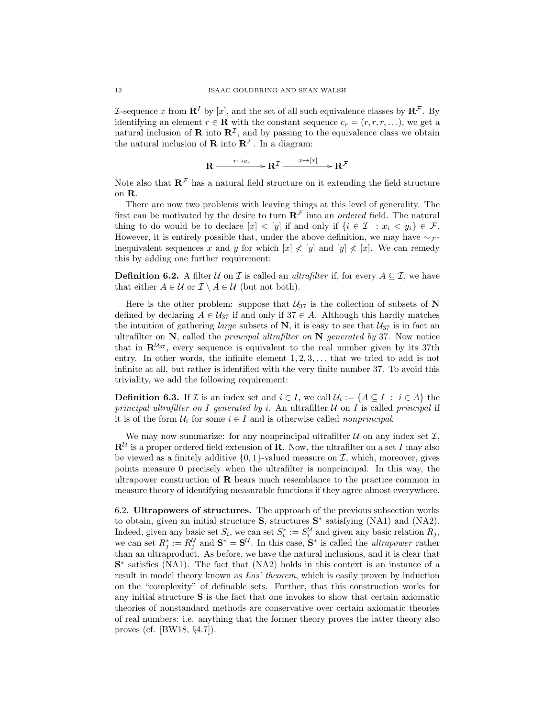L-sequence x from  $\mathbb{R}^I$  by [x], and the set of all such equivalence classes by  $\mathbb{R}^{\mathcal{F}}$ . By identifying an element  $r \in \mathbf{R}$  with the constant sequence  $c_r = (r, r, r, \ldots)$ , we get a natural inclusion of **R** into  $\mathbb{R}^{\mathcal{I}}$ , and by passing to the equivalence class we obtain the natural inclusion of **R** into  $\mathbb{R}^{\mathcal{F}}$ . In a diagram:

 $\mathbf{R} \xrightarrow{r \mapsto c_r} \mathbf{R}^{\mathcal{I}} \xrightarrow{x \mapsto [x]} \mathbf{R}^{\mathcal{F}}$ 

Note also that  $\mathbb{R}^{\mathcal{F}}$  has a natural field structure on it extending the field structure on R.

There are now two problems with leaving things at this level of generality. The first can be motivated by the desire to turn  $\mathbb{R}^{\mathcal{F}}$  into an *ordered* field. The natural thing to do would be to declare  $[x] < [y]$  if and only if  $\{i \in \mathcal{I} : x_i < y_i\} \in \mathcal{F}$ . However, it is entirely possible that, under the above definition, we may have  $\sim$   $\mathcal{F}$ inequivalent sequences x and y for which  $[x] \nless [y]$  and  $[y] \nless [x]$ . We can remedy this by adding one further requirement:

**Definition 6.2.** A filter  $\mathcal{U}$  on  $\mathcal{I}$  is called an *ultrafilter* if, for every  $A \subseteq \mathcal{I}$ , we have that either  $A \in \mathcal{U}$  or  $\mathcal{I} \setminus A \in \mathcal{U}$  (but not both).

Here is the other problem: suppose that  $U_{37}$  is the collection of subsets of N defined by declaring  $A \in \mathcal{U}_{37}$  if and only if  $37 \in A$ . Although this hardly matches the intuition of gathering *large* subsets of N, it is easy to see that  $U_{37}$  is in fact an ultrafilter on  $\bf{N}$ , called the *principal ultrafilter on*  $\bf{N}$  *generated by* 37. Now notice that in  $\mathbf{R}^{u_{37}}$ , every sequence is equivalent to the real number given by its 37th entry. In other words, the infinite element  $1, 2, 3, \ldots$  that we tried to add is not infinite at all, but rather is identified with the very finite number 37. To avoid this triviality, we add the following requirement:

**Definition 6.3.** If  $\mathcal{I}$  is an index set and  $i \in I$ , we call  $\mathcal{U}_i := \{A \subseteq I : i \in A\}$  the principal ultrafilter on I generated by i. An ultrafilter  $U$  on I is called principal if it is of the form  $\mathcal{U}_i$  for some  $i \in I$  and is otherwise called *nonprincipal*.

We may now summarize: for any nonprincipal ultrafilter  $U$  on any index set  $\mathcal{I},$  $\mathbf{R}^{\mathcal{U}}$  is a proper ordered field extension of **R**. Now, the ultrafilter on a set I may also be viewed as a finitely additive  $\{0, 1\}$ -valued measure on  $\mathcal{I}$ , which, moreover, gives points measure 0 precisely when the ultrafilter is nonprincipal. In this way, the ultrapower construction of  $\bf{R}$  bears much resemblance to the practice common in measure theory of identifying measurable functions if they agree almost everywhere.

6.2. Ultrapowers of structures. The approach of the previous subsection works to obtain, given an initial structure S, structures S<sup>\*</sup> satisfying (NA1) and (NA2). Indeed, given any basic set  $S_i$ , we can set  $S_i^* := S_i^{\mathcal{U}}$  and given any basic relation  $R_j$ , we can set  $R_j^* := R_j^{\mathcal{U}}$  and  $\mathbf{S}^* = \mathbf{S}^{\mathcal{U}}$ . In this case,  $\mathbf{S}^*$  is called the *ultrapower* rather than an ultraproduct. As before, we have the natural inclusions, and it is clear that S<sup>\*</sup> satisfies (NA1). The fact that (NA2) holds in this context is an instance of a result in model theory known as Los' theorem, which is easily proven by induction on the "complexity" of definable sets. Further, that this construction works for any initial structure S is the fact that one invokes to show that certain axiomatic theories of nonstandard methods are conservative over certain axiomatic theories of real numbers: i.e. anything that the former theory proves the latter theory also proves (cf. [BW18, §4.7]).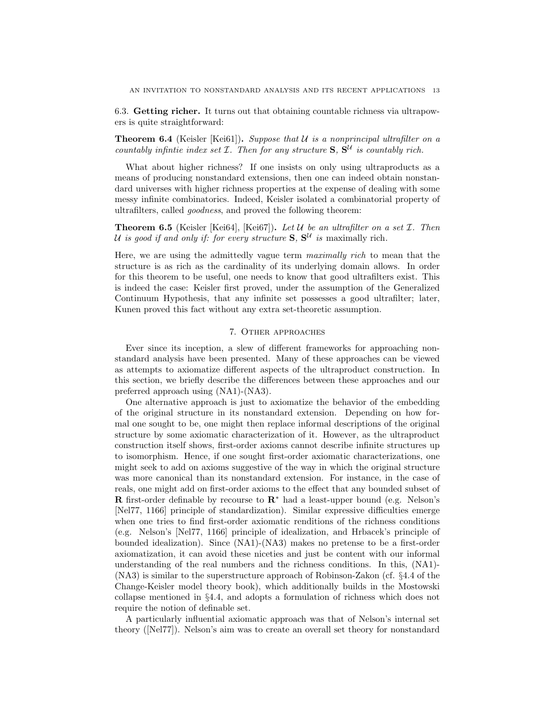6.3. Getting richer. It turns out that obtaining countable richness via ultrapowers is quite straightforward:

**Theorem 6.4** (Keisler [Kei61]). Suppose that  $U$  is a nonprincipal ultrafilter on a countably infinite index set  $I$ . Then for any structure  $S$ ,  $S<sup>U</sup>$  is countably rich.

What about higher richness? If one insists on only using ultraproducts as a means of producing nonstandard extensions, then one can indeed obtain nonstandard universes with higher richness properties at the expense of dealing with some messy infinite combinatorics. Indeed, Keisler isolated a combinatorial property of ultrafilters, called goodness, and proved the following theorem:

**Theorem 6.5** (Keisler [Kei64], [Kei67]). Let U be an ultrafilter on a set  $\mathcal{I}$ . Then U is good if and only if: for every structure  $S, S<sup>U</sup>$  is maximally rich.

Here, we are using the admittedly vague term maximally rich to mean that the structure is as rich as the cardinality of its underlying domain allows. In order for this theorem to be useful, one needs to know that good ultrafilters exist. This is indeed the case: Keisler first proved, under the assumption of the Generalized Continuum Hypothesis, that any infinite set possesses a good ultrafilter; later, Kunen proved this fact without any extra set-theoretic assumption.

## 7. Other approaches

Ever since its inception, a slew of different frameworks for approaching nonstandard analysis have been presented. Many of these approaches can be viewed as attempts to axiomatize different aspects of the ultraproduct construction. In this section, we briefly describe the differences between these approaches and our preferred approach using (NA1)-(NA3).

One alternative approach is just to axiomatize the behavior of the embedding of the original structure in its nonstandard extension. Depending on how formal one sought to be, one might then replace informal descriptions of the original structure by some axiomatic characterization of it. However, as the ultraproduct construction itself shows, first-order axioms cannot describe infinite structures up to isomorphism. Hence, if one sought first-order axiomatic characterizations, one might seek to add on axioms suggestive of the way in which the original structure was more canonical than its nonstandard extension. For instance, in the case of reals, one might add on first-order axioms to the effect that any bounded subset of **R** first-order definable by recourse to  $\mathbb{R}^*$  had a least-upper bound (e.g. Nelson's [Nel77, 1166] principle of standardization). Similar expressive difficulties emerge when one tries to find first-order axiomatic renditions of the richness conditions (e.g. Nelson's [Nel77, 1166] principle of idealization, and Hrbacek's principle of bounded idealization). Since (NA1)-(NA3) makes no pretense to be a first-order axiomatization, it can avoid these niceties and just be content with our informal understanding of the real numbers and the richness conditions. In this, (NA1)- (NA3) is similar to the superstructure approach of Robinson-Zakon (cf. §4.4 of the Change-Keisler model theory book), which additionally builds in the Mostowski collapse mentioned in §4.4, and adopts a formulation of richness which does not require the notion of definable set.

A particularly influential axiomatic approach was that of Nelson's internal set theory ([Nel77]). Nelson's aim was to create an overall set theory for nonstandard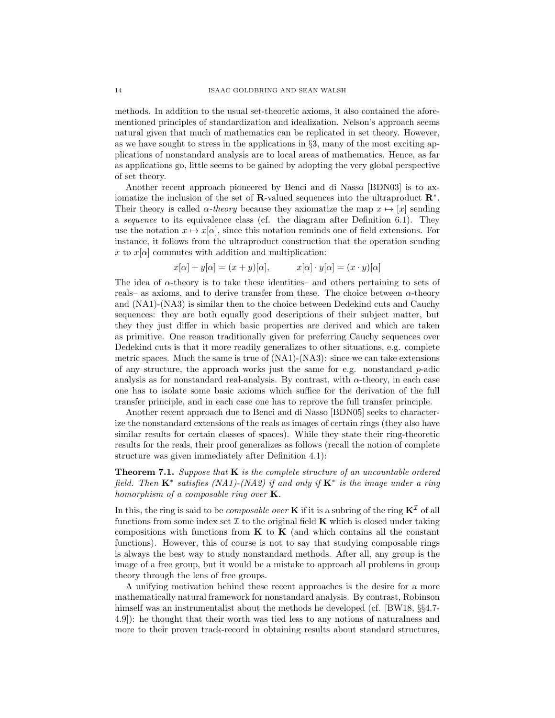methods. In addition to the usual set-theoretic axioms, it also contained the aforementioned principles of standardization and idealization. Nelson's approach seems natural given that much of mathematics can be replicated in set theory. However, as we have sought to stress in the applications in §3, many of the most exciting applications of nonstandard analysis are to local areas of mathematics. Hence, as far as applications go, little seems to be gained by adopting the very global perspective of set theory.

Another recent approach pioneered by Benci and di Nasso [BDN03] is to axiomatize the inclusion of the set of  $\mathbb{R}$ -valued sequences into the ultraproduct  $\mathbb{R}^*$ . Their theory is called  $\alpha$ -theory because they axiomatize the map  $x \mapsto [x]$  sending a sequence to its equivalence class (cf. the diagram after Definition 6.1). They use the notation  $x \mapsto x[\alpha]$ , since this notation reminds one of field extensions. For instance, it follows from the ultraproduct construction that the operation sending x to  $x[\alpha]$  commutes with addition and multiplication:

$$
x[\alpha] + y[\alpha] = (x + y)[\alpha],
$$
  $x[\alpha] \cdot y[\alpha] = (x \cdot y)[\alpha]$ 

The idea of  $\alpha$ -theory is to take these identities– and others pertaining to sets of reals– as axioms, and to derive transfer from these. The choice between  $\alpha$ -theory and (NA1)-(NA3) is similar then to the choice between Dedekind cuts and Cauchy sequences: they are both equally good descriptions of their subject matter, but they they just differ in which basic properties are derived and which are taken as primitive. One reason traditionally given for preferring Cauchy sequences over Dedekind cuts is that it more readily generalizes to other situations, e.g. complete metric spaces. Much the same is true of (NA1)-(NA3): since we can take extensions of any structure, the approach works just the same for e.g. nonstandard  $p$ -adic analysis as for nonstandard real-analysis. By contrast, with  $\alpha$ -theory, in each case one has to isolate some basic axioms which suffice for the derivation of the full transfer principle, and in each case one has to reprove the full transfer principle.

Another recent approach due to Benci and di Nasso [BDN05] seeks to characterize the nonstandard extensions of the reals as images of certain rings (they also have similar results for certain classes of spaces). While they state their ring-theoretic results for the reals, their proof generalizes as follows (recall the notion of complete structure was given immediately after Definition 4.1):

**Theorem 7.1.** Suppose that  $\bf{K}$  is the complete structure of an uncountable ordered field. Then  $\mathbf{K}^*$  satisfies (NA1)-(NA2) if and only if  $\mathbf{K}^*$  is the image under a ring homorphism of a composable ring over  $K$ .

In this, the ring is said to be *composable over* **K** if it is a subring of the ring  $\mathbf{K}^{\mathcal{I}}$  of all functions from some index set  $\mathcal I$  to the original field **K** which is closed under taking compositions with functions from  $K$  to  $K$  (and which contains all the constant functions). However, this of course is not to say that studying composable rings is always the best way to study nonstandard methods. After all, any group is the image of a free group, but it would be a mistake to approach all problems in group theory through the lens of free groups.

A unifying motivation behind these recent approaches is the desire for a more mathematically natural framework for nonstandard analysis. By contrast, Robinson himself was an instrumentalist about the methods he developed (cf. [BW18,  $\S$ §4.7-4.9]): he thought that their worth was tied less to any notions of naturalness and more to their proven track-record in obtaining results about standard structures,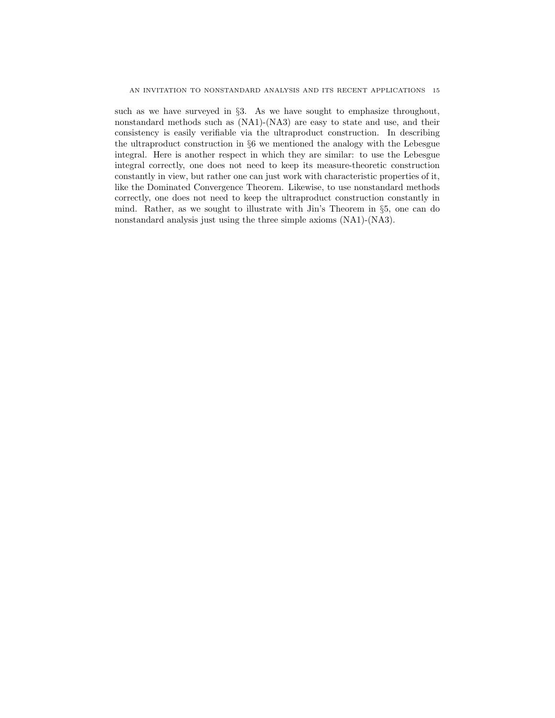such as we have surveyed in §3. As we have sought to emphasize throughout, nonstandard methods such as (NA1)-(NA3) are easy to state and use, and their consistency is easily verifiable via the ultraproduct construction. In describing the ultraproduct construction in §6 we mentioned the analogy with the Lebesgue integral. Here is another respect in which they are similar: to use the Lebesgue integral correctly, one does not need to keep its measure-theoretic construction constantly in view, but rather one can just work with characteristic properties of it, like the Dominated Convergence Theorem. Likewise, to use nonstandard methods correctly, one does not need to keep the ultraproduct construction constantly in mind. Rather, as we sought to illustrate with Jin's Theorem in §5, one can do nonstandard analysis just using the three simple axioms (NA1)-(NA3).